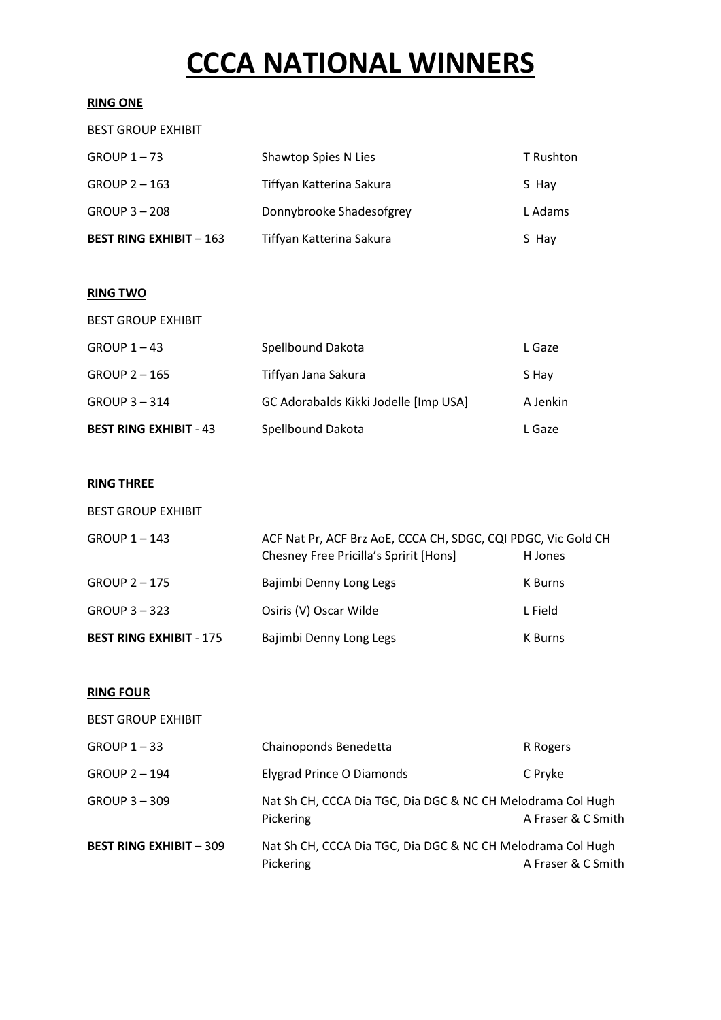# **CCCA NATIONAL WINNERS**

#### **RING ONE**

| <b>BEST RING EXHIBIT - 163</b> | Tiffyan Katterina Sakura | S Hay     |
|--------------------------------|--------------------------|-----------|
| GROUP 3 - 208                  | Donnybrooke Shadesofgrey | L Adams   |
| $GROUP 2 - 163$                | Tiffyan Katterina Sakura | S Hay     |
| GROUP $1 - 73$                 | Shawtop Spies N Lies     | T Rushton |
| <b>BEST GROUP EXHIBIT</b>      |                          |           |

#### **RING TWO**

| <b>BEST RING EXHIBIT - 43</b> | Spellbound Dakota                     | L Gaze   |
|-------------------------------|---------------------------------------|----------|
| $GROUP 3 - 314$               | GC Adorabalds Kikki Jodelle [Imp USA] | A Jenkin |
| <b>GROUP 2-165</b>            | Tiffyan Jana Sakura                   | S Hay    |
| $GROUP 1 - 43$                | Spellbound Dakota                     | L Gaze   |
| <b>BEST GROUP EXHIBIT</b>     |                                       |          |

#### **RING THREE**

| <b>BEST RING EXHIBIT - 175</b> | Bajimbi Denny Long Legs                                                                                 | K Burns |
|--------------------------------|---------------------------------------------------------------------------------------------------------|---------|
| $GROUP 3 - 323$                | Osiris (V) Oscar Wilde                                                                                  | L Field |
| <b>GROUP 2-175</b>             | Bajimbi Denny Long Legs                                                                                 | K Burns |
| <b>GROUP 1-143</b>             | ACF Nat Pr, ACF Brz AoE, CCCA CH, SDGC, CQI PDGC, Vic Gold CH<br>Chesney Free Pricilla's Spririt [Hons] | H Jones |
| <b>BEST GROUP EXHIBIT</b>      |                                                                                                         |         |

#### **RING FOUR**

| <b>BEST GROUP EXHIBIT</b>      |                                                                          |                    |
|--------------------------------|--------------------------------------------------------------------------|--------------------|
| $GROUP 1 - 33$                 | Chainoponds Benedetta                                                    | R Rogers           |
| <b>GROUP 2-194</b>             | Elygrad Prince O Diamonds                                                | C Pryke            |
| <b>GROUP 3-309</b>             | Nat Sh CH, CCCA Dia TGC, Dia DGC & NC CH Melodrama Col Hugh<br>Pickering | A Fraser & C Smith |
| <b>BEST RING EXHIBIT - 309</b> | Nat Sh CH, CCCA Dia TGC, Dia DGC & NC CH Melodrama Col Hugh<br>Pickering | A Fraser & C Smith |